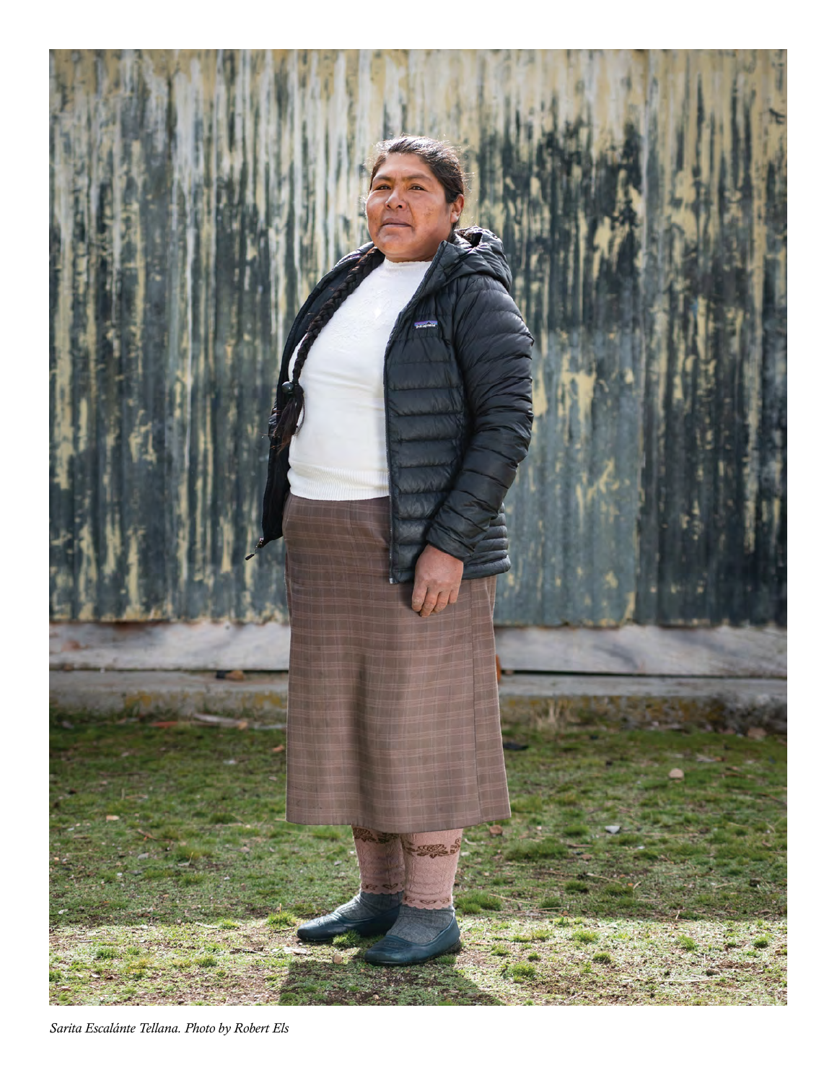

*Sarita Escalánte Tellana. Photo by Robert Els*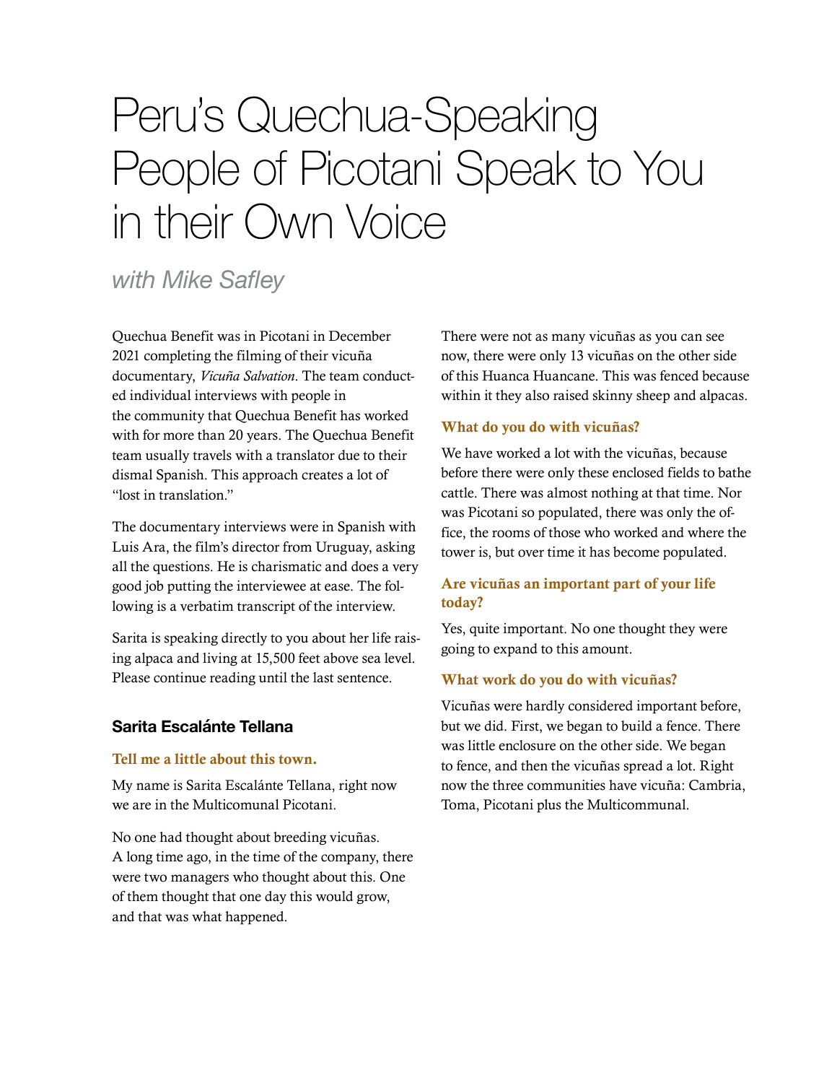# Peru's Quechua-Speaking People of Picotani Speak to You in their Own Voice

# *with Mike Safley*

Quechua Benefit was in Picotani in December 2021 completing the filming of their vicuña documentary, *Vicuña Salvation*. The team conducted individual interviews with people in the community that Quechua Benefit has worked with for more than 20 years. The Quechua Benefit team usually travels with a translator due to their dismal Spanish. This approach creates a lot of "lost in translation."

The documentary interviews were in Spanish with Luis Ara, the film's director from Uruguay, asking all the questions. He is charismatic and does a very good job putting the interviewee at ease. The following is a verbatim transcript of the interview.

Sarita is speaking directly to you about her life raising alpaca and living at 15,500 feet above sea level. Please continue reading until the last sentence.

# **Sarita Escalánte Tellana**

#### Tell me a little about this town.

My name is Sarita Escalánte Tellana, right now we are in the Multicomunal Picotani.

No one had thought about breeding vicuñas. A long time ago, in the time of the company, there were two managers who thought about this. One of them thought that one day this would grow, and that was what happened.

There were not as many vicuñas as you can see now, there were only 13 vicuñas on the other side of this Huanca Huancane. This was fenced because within it they also raised skinny sheep and alpacas.

#### What do you do with vicuñas?

We have worked a lot with the vicuñas, because before there were only these enclosed fields to bathe cattle. There was almost nothing at that time. Nor was Picotani so populated, there was only the office, the rooms of those who worked and where the tower is, but over time it has become populated.

# Are vicuñas an important part of your life today?

Yes, quite important. No one thought they were going to expand to this amount.

#### What work do you do with vicuñas?

Vicuñas were hardly considered important before, but we did. First, we began to build a fence. There was little enclosure on the other side. We began to fence, and then the vicuñas spread a lot. Right now the three communities have vicuña: Cambria, Toma, Picotani plus the Multicommunal.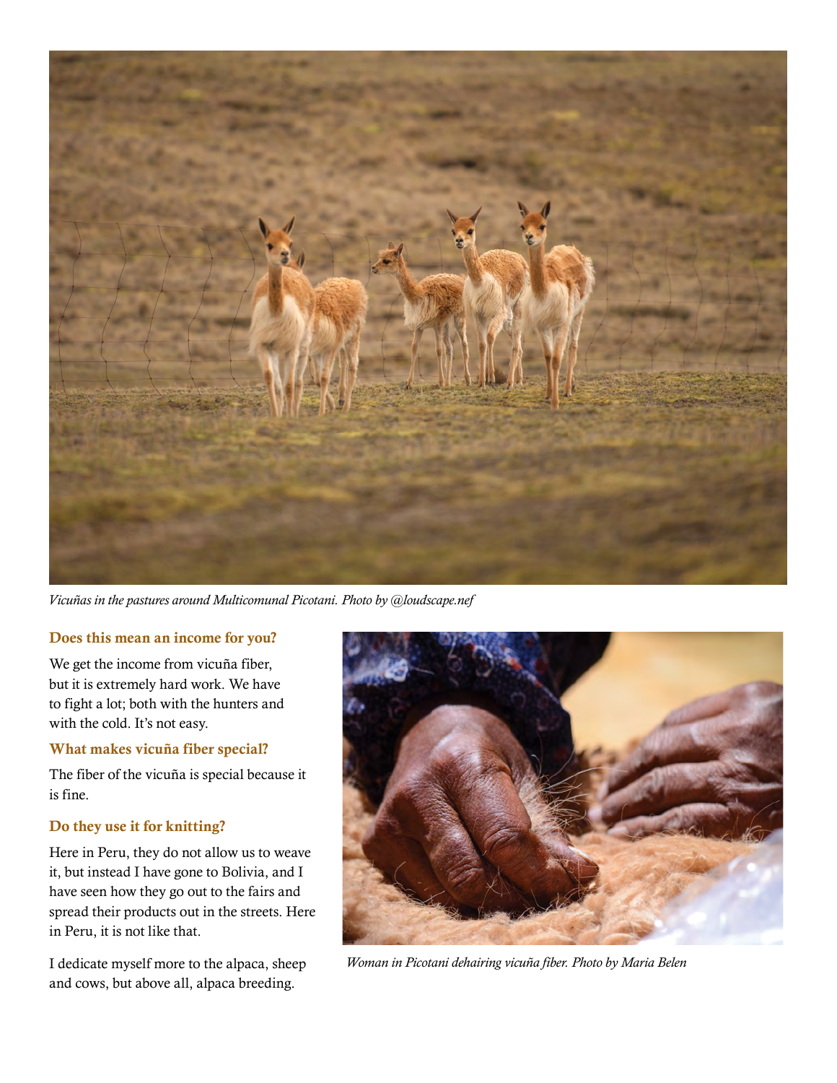

*Vicuñas in the pastures around Multicomunal Picotani. Photo by @loudscape.nef*

#### Does this mean an income for you?

We get the income from vicuña fiber, but it is extremely hard work. We have to fight a lot; both with the hunters and with the cold. It's not easy.

#### What makes vicuña fiber special?

The fiber of the vicuña is special because it is fine.

#### Do they use it for knitting?

Here in Peru, they do not allow us to weave it, but instead I have gone to Bolivia, and I have seen how they go out to the fairs and spread their products out in the streets. Here in Peru, it is not like that.

I dedicate myself more to the alpaca, sheep and cows, but above all, alpaca breeding.



 *Woman in Picotani dehairing vicuña fiber. Photo by Maria Belen*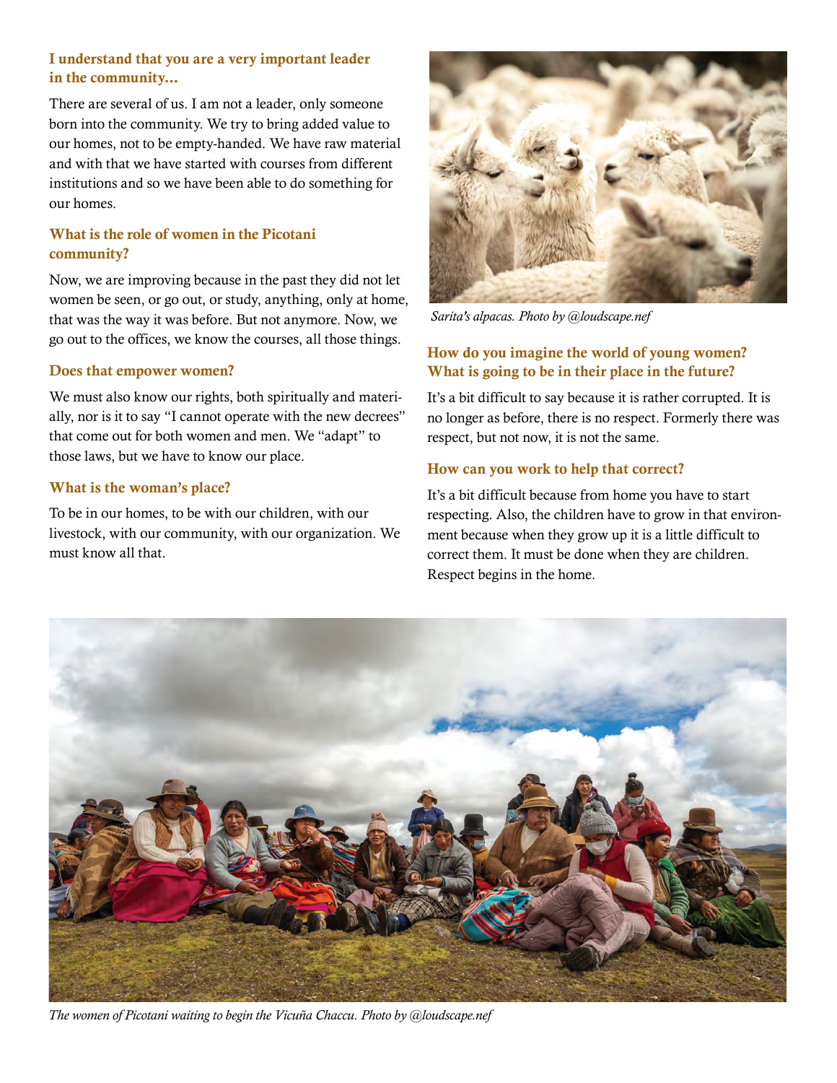# I understand that you are a very important leader in the community...

There are several of us. I am not a leader, only someone born into the community. We try to bring added value to our homes, not to be empty-handed. We have raw material and with that we have started with courses from different institutions and so we have been able to do something for our homes.

# What is the role of women in the Picotani community?

Now, we are improving because in the past they did not let women be seen, or go out, or study, anything, only at home, that was the way it was before. But not anymore. Now, we go out to the offices, we know the courses, all those things.

#### Does that empower women?

We must also know our rights, both spiritually and materially, nor is it to say "I cannot operate with the new decrees" that come out for both women and men. We "adapt" to those laws, but we have to know our place.

#### What is the woman's place?

To be in our homes, to be with our children, with our livestock, with our community, with our organization. We must know all that.



 *Sarita's alpacas. Photo by @loudscape.nef*

## How do you imagine the world of young women? What is going to be in their place in the future?

It's a bit difficult to say because it is rather corrupted. It is no longer as before, there is no respect. Formerly there was respect, but not now, it is not the same.

#### How can you work to help that correct?

It's a bit difficult because from home you have to start respecting. Also, the children have to grow in that environment because when they grow up it is a little difficult to correct them. It must be done when they are children. Respect begins in the home.



 *The women of Picotani waiting to begin the Vicuña Chaccu. Photo by @loudscape.nef*